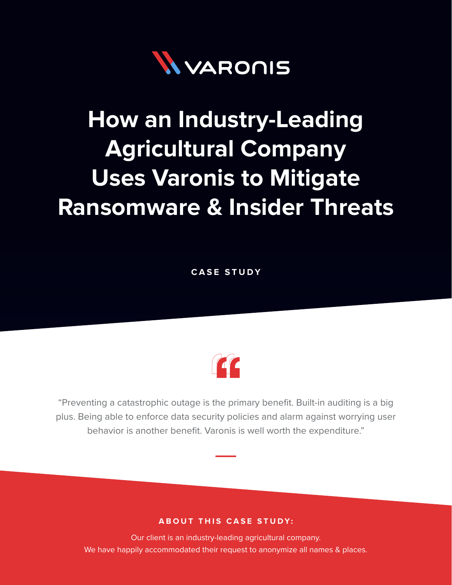

# **How an Industry-Leading Agricultural Company Uses Varonis to Mitigate Ransomware & Insider Threats**

**CASE STUDY**



"Preventing a catastrophic outage is the primary benefit. Built-in auditing is a big plus. Being able to enforce data security policies and alarm against worrying user behavior is another benefit. Varonis is well worth the expenditure."

### **ABOUT THIS CASE STUDY:**

Our client is an industry-leading agricultural company. We have happily accommodated their request to anonymize all names & places.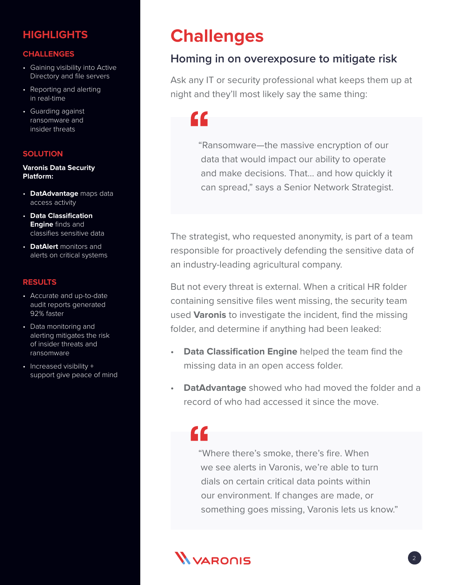### **HIGHLIGHTS**

#### **CHALLENGES**

- Gaining visibility into Active Directory and file servers
- Reporting and alerting in real-time
- Guarding against ransomware and insider threats

#### **SOLUTION**

#### **Varonis Data Security Platform:**

- **DatAdvantage** maps data access activity
- **Data Classification Engine** finds and classifies sensitive data
- **DatAlert** monitors and alerts on critical systems

#### **RESULTS**

- Accurate and up-to-date audit reports generated 92% faster
- Data monitoring and alerting mitigates the risk of insider threats and ransomware
- Increased visibility + support give peace of mind

## **Challenges**

### **Homing in on overexposure to mitigate risk**

Ask any IT or security professional what keeps them up at night and they'll most likely say the same thing:

CC.

"Ransomware—the massive encryption of our data that would impact our ability to operate and make decisions. That… and how quickly it can spread," says a Senior Network Strategist.

The strategist, who requested anonymity, is part of a team responsible for proactively defending the sensitive data of an industry-leading agricultural company.

But not every threat is external. When a critical HR folder containing sensitive files went missing, the security team used **Varonis** to investigate the incident, find the missing folder, and determine if anything had been leaked:

- **Data Classification Engine** helped the team find the missing data in an open access folder.
- **DatAdvantage** showed who had moved the folder and a record of who had accessed it since the move.

# "

"Where there's smoke, there's fire. When we see alerts in Varonis, we're able to turn dials on certain critical data points within our environment. If changes are made, or something goes missing, Varonis lets us know."

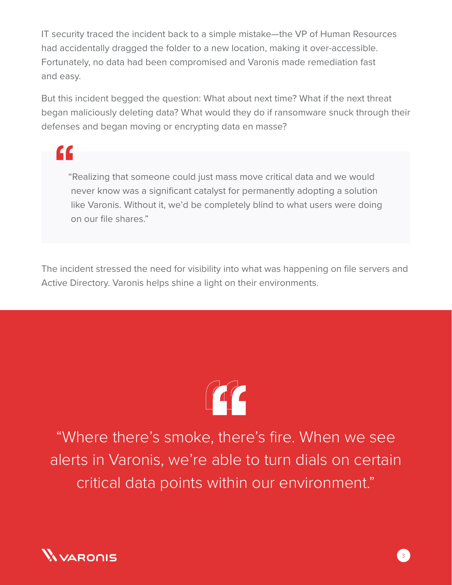IT security traced the incident back to a simple mistake—the VP of Human Resources had accidentally dragged the folder to a new location, making it over-accessible. Fortunately, no data had been compromised and Varonis made remediation fast and easy.

But this incident begged the question: What about next time? What if the next threat began maliciously deleting data? What would they do if ransomware snuck through their defenses and began moving or encrypting data en masse?

"Realizing that someone could just mass move critical data and we would never know was a significant catalyst for permanently adopting a solution like Varonis. Without it, we'd be completely blind to what users were doing on our file shares."

The incident stressed the need for visibility into what was happening on file servers and Active Directory. Varonis helps shine a light on their environments.



"Where there's smoke, there's fire. When we see alerts in Varonis, we're able to turn dials on certain critical data points within our environment."



"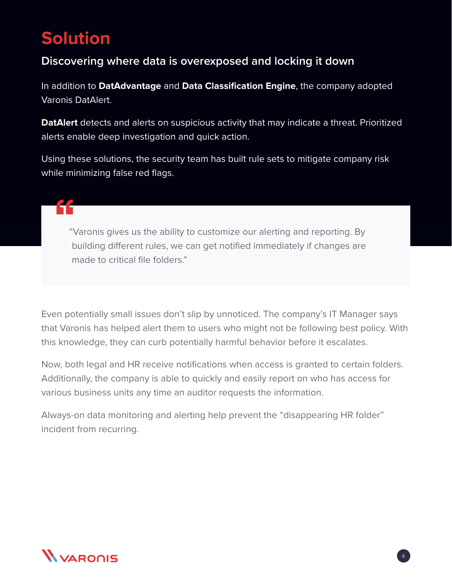## **Solution**

## **Discovering where data is overexposed and locking it down**

In addition to **DatAdvantage** and **Data Classification Engine**, the company adopted Varonis DatAlert.

**DatAlert** detects and alerts on suspicious activity that may indicate a threat. Prioritized alerts enable deep investigation and quick action.

Using these solutions, the security team has built rule sets to mitigate company risk while minimizing false red flags.

## "Varonis gives us the ability to customize our alerting and reporting. By building different rules, we can get notified immediately if changes are made to critical file folders."

Even potentially small issues don't slip by unnoticed. The company's IT Manager says that Varonis has helped alert them to users who might not be following best policy. With this knowledge, they can curb potentially harmful behavior before it escalates.

Now, both legal and HR receive notifications when access is granted to certain folders. Additionally, the company is able to quickly and easily report on who has access for various business units any time an auditor requests the information.

Always-on data monitoring and alerting help prevent the "disappearing HR folder" incident from recurring.



4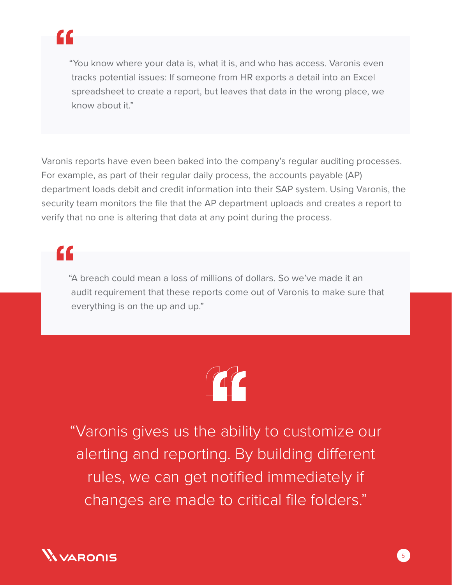

"You know where your data is, what it is, and who has access. Varonis even tracks potential issues: If someone from HR exports a detail into an Excel spreadsheet to create a report, but leaves that data in the wrong place, we know about it."

Varonis reports have even been baked into the company's regular auditing processes. For example, as part of their regular daily process, the accounts payable (AP) department loads debit and credit information into their SAP system. Using Varonis, the security team monitors the file that the AP department uploads and creates a report to verify that no one is altering that data at any point during the process.

# <u>cc</u>

"A breach could mean a loss of millions of dollars. So we've made it an audit requirement that these reports come out of Varonis to make sure that everything is on the up and up."



"Varonis gives us the ability to customize our alerting and reporting. By building different rules, we can get notified immediately if changes are made to critical file folders."

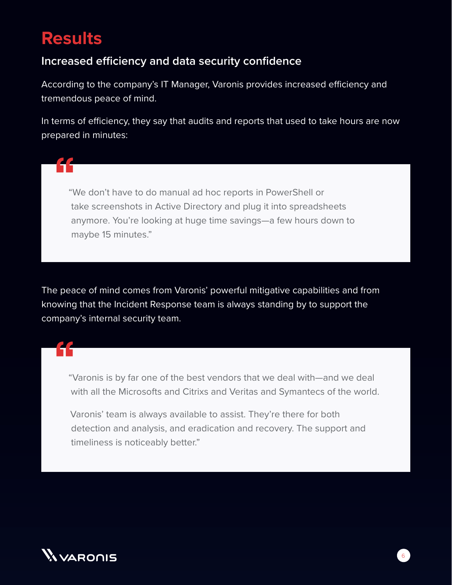## **Results**

44

### **Increased efficiency and data security confidence**

According to the company's IT Manager, Varonis provides increased efficiency and tremendous peace of mind.

In terms of efficiency, they say that audits and reports that used to take hours are now prepared in minutes:

"We don't have to do manual ad hoc reports in PowerShell or take screenshots in Active Directory and plug it into spreadsheets anymore. You're looking at huge time savings—a few hours down to maybe 15 minutes."

The peace of mind comes from Varonis' powerful mitigative capabilities and from knowing that the Incident Response team is always standing by to support the company's internal security team.

"Varonis is by far one of the best vendors that we deal with—and we deal with all the Microsofts and Citrixs and Veritas and Symantecs of the world.

Varonis' team is always available to assist. They're there for both detection and analysis, and eradication and recovery. The support and timeliness is noticeably better."

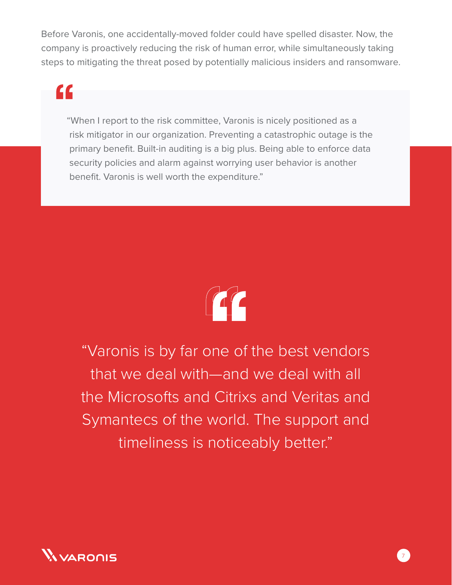Before Varonis, one accidentally-moved folder could have spelled disaster. Now, the company is proactively reducing the risk of human error, while simultaneously taking steps to mitigating the threat posed by potentially malicious insiders and ransomware.

# <u>CC</u>

"When I report to the risk committee, Varonis is nicely positioned as a risk mitigator in our organization. Preventing a catastrophic outage is the primary benefit. Built-in auditing is a big plus. Being able to enforce data security policies and alarm against worrying user behavior is another benefit. Varonis is well worth the expenditure."



"Varonis is by far one of the best vendors that we deal with—and we deal with all the Microsofts and Citrixs and Veritas and Symantecs of the world. The support and timeliness is noticeably better."